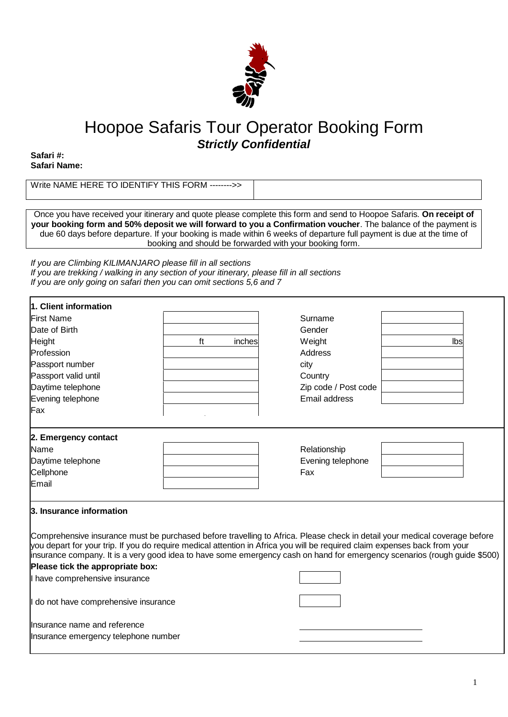

# Hoopoe Safaris Tour Operator Booking Form *Strictly Confidential*

**Safari #: Safari Name:** 

Write NAME HERE TO IDENTIFY THIS FORM -------->>

Once you have received your itinerary and quote please complete this form and send to Hoopoe Safaris. **On receipt of your booking form and 50% deposit we will forward to you a Confirmation voucher**. The balance of the payment is due 60 days before departure. If your booking is made within 6 weeks of departure full payment is due at the time of booking and should be forwarded with your booking form.

*If you are Climbing KILIMANJARO please fill in all sections If you are trekking / walking in any section of your itinerary, please fill in all sections If you are only going on safari then you can omit sections 5,6 and 7*

| 1. Client information                                                                                                                                                                                                                                    |              |                      |                                                                                                                           |
|----------------------------------------------------------------------------------------------------------------------------------------------------------------------------------------------------------------------------------------------------------|--------------|----------------------|---------------------------------------------------------------------------------------------------------------------------|
| <b>First Name</b>                                                                                                                                                                                                                                        |              | Surname              |                                                                                                                           |
| Date of Birth                                                                                                                                                                                                                                            |              | Gender               |                                                                                                                           |
| <b>Height</b>                                                                                                                                                                                                                                            | ft<br>inches | Weight               | Ibs                                                                                                                       |
| Profession                                                                                                                                                                                                                                               |              | Address              |                                                                                                                           |
| Passport number                                                                                                                                                                                                                                          |              | city                 |                                                                                                                           |
| Passport valid until                                                                                                                                                                                                                                     |              | Country              |                                                                                                                           |
| Daytime telephone                                                                                                                                                                                                                                        |              | Zip code / Post code |                                                                                                                           |
| Evening telephone                                                                                                                                                                                                                                        |              | Email address        |                                                                                                                           |
| Fax                                                                                                                                                                                                                                                      |              |                      |                                                                                                                           |
| 2. Emergency contact                                                                                                                                                                                                                                     |              |                      |                                                                                                                           |
| Name                                                                                                                                                                                                                                                     |              | Relationship         |                                                                                                                           |
| Daytime telephone                                                                                                                                                                                                                                        |              | Evening telephone    |                                                                                                                           |
| Cellphone                                                                                                                                                                                                                                                |              | Fax                  |                                                                                                                           |
| Email                                                                                                                                                                                                                                                    |              |                      |                                                                                                                           |
| 3. Insurance information                                                                                                                                                                                                                                 |              |                      |                                                                                                                           |
| Comprehensive insurance must be purchased before travelling to Africa. Please check in detail your medical coverage before<br>you depart for your trip. If you do require medical attention in Africa you will be required claim expenses back from your |              |                      | insurance company. It is a very good idea to have some emergency cash on hand for emergency scenarios (rough guide \$500) |
| Please tick the appropriate box:                                                                                                                                                                                                                         |              |                      |                                                                                                                           |
| I have comprehensive insurance                                                                                                                                                                                                                           |              |                      |                                                                                                                           |
| I do not have comprehensive insurance                                                                                                                                                                                                                    |              |                      |                                                                                                                           |
| Insurance name and reference                                                                                                                                                                                                                             |              |                      |                                                                                                                           |
| Insurance emergency telephone number                                                                                                                                                                                                                     |              |                      |                                                                                                                           |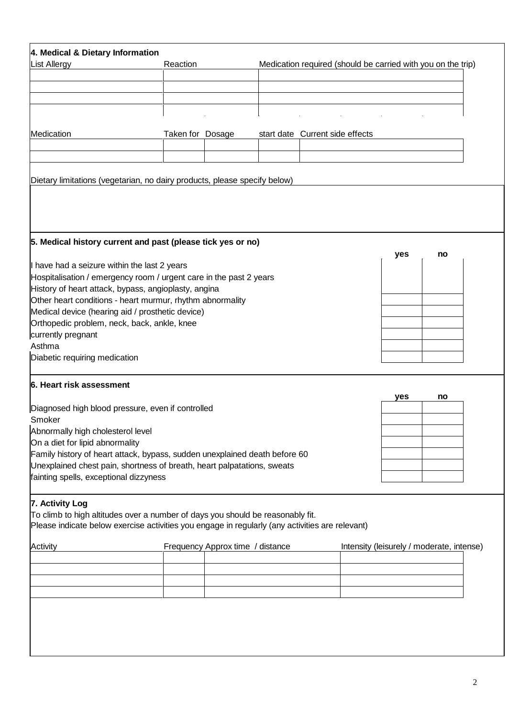| 4. Medical & Dietary Information                                                                                  |                  |                                  |                                 |                                                              |  |                                           |    |  |
|-------------------------------------------------------------------------------------------------------------------|------------------|----------------------------------|---------------------------------|--------------------------------------------------------------|--|-------------------------------------------|----|--|
| <b>List Allergy</b>                                                                                               | Reaction         |                                  |                                 | Medication required (should be carried with you on the trip) |  |                                           |    |  |
|                                                                                                                   |                  |                                  |                                 |                                                              |  |                                           |    |  |
|                                                                                                                   |                  |                                  |                                 |                                                              |  |                                           |    |  |
|                                                                                                                   |                  |                                  |                                 |                                                              |  |                                           |    |  |
|                                                                                                                   |                  |                                  |                                 |                                                              |  |                                           |    |  |
| Medication                                                                                                        | Taken for Dosage |                                  | start date Current side effects |                                                              |  |                                           |    |  |
|                                                                                                                   |                  |                                  |                                 |                                                              |  |                                           |    |  |
|                                                                                                                   |                  |                                  |                                 |                                                              |  |                                           |    |  |
| Dietary limitations (vegetarian, no dairy products, please specify below)                                         |                  |                                  |                                 |                                                              |  |                                           |    |  |
|                                                                                                                   |                  |                                  |                                 |                                                              |  |                                           |    |  |
|                                                                                                                   |                  |                                  |                                 |                                                              |  |                                           |    |  |
|                                                                                                                   |                  |                                  |                                 |                                                              |  |                                           |    |  |
| 5. Medical history current and past (please tick yes or no)                                                       |                  |                                  |                                 |                                                              |  |                                           |    |  |
| I have had a seizure within the last 2 years                                                                      |                  |                                  |                                 |                                                              |  | yes                                       | no |  |
| Hospitalisation / emergency room / urgent care in the past 2 years                                                |                  |                                  |                                 |                                                              |  |                                           |    |  |
| History of heart attack, bypass, angioplasty, angina                                                              |                  |                                  |                                 |                                                              |  |                                           |    |  |
| Other heart conditions - heart murmur, rhythm abnormality                                                         |                  |                                  |                                 |                                                              |  |                                           |    |  |
| Medical device (hearing aid / prosthetic device)                                                                  |                  |                                  |                                 |                                                              |  |                                           |    |  |
| Orthopedic problem, neck, back, ankle, knee<br>currently pregnant                                                 |                  |                                  |                                 |                                                              |  |                                           |    |  |
| Asthma                                                                                                            |                  |                                  |                                 |                                                              |  |                                           |    |  |
| Diabetic requiring medication                                                                                     |                  |                                  |                                 |                                                              |  |                                           |    |  |
|                                                                                                                   |                  |                                  |                                 |                                                              |  |                                           |    |  |
| 6. Heart risk assessment                                                                                          |                  |                                  |                                 |                                                              |  |                                           |    |  |
| Diagnosed high blood pressure, even if controlled                                                                 |                  |                                  |                                 |                                                              |  | yes                                       | no |  |
| Smoker                                                                                                            |                  |                                  |                                 |                                                              |  |                                           |    |  |
| Abnormally high cholesterol level                                                                                 |                  |                                  |                                 |                                                              |  |                                           |    |  |
| On a diet for lipid abnormality                                                                                   |                  |                                  |                                 |                                                              |  |                                           |    |  |
| Family history of heart attack, bypass, sudden unexplained death before 60                                        |                  |                                  |                                 |                                                              |  |                                           |    |  |
| Unexplained chest pain, shortness of breath, heart palpatations, sweats<br>fainting spells, exceptional dizzyness |                  |                                  |                                 |                                                              |  |                                           |    |  |
|                                                                                                                   |                  |                                  |                                 |                                                              |  |                                           |    |  |
| 7. Activity Log                                                                                                   |                  |                                  |                                 |                                                              |  |                                           |    |  |
| To climb to high altitudes over a number of days you should be reasonably fit.                                    |                  |                                  |                                 |                                                              |  |                                           |    |  |
| Please indicate below exercise activities you engage in regularly (any activities are relevant)                   |                  |                                  |                                 |                                                              |  |                                           |    |  |
| Activity                                                                                                          |                  | Frequency Approx time / distance |                                 |                                                              |  | Intensity (leisurely / moderate, intense) |    |  |
|                                                                                                                   |                  |                                  |                                 |                                                              |  |                                           |    |  |
|                                                                                                                   |                  |                                  |                                 |                                                              |  |                                           |    |  |
|                                                                                                                   |                  |                                  |                                 |                                                              |  |                                           |    |  |
|                                                                                                                   |                  |                                  |                                 |                                                              |  |                                           |    |  |
|                                                                                                                   |                  |                                  |                                 |                                                              |  |                                           |    |  |
|                                                                                                                   |                  |                                  |                                 |                                                              |  |                                           |    |  |
|                                                                                                                   |                  |                                  |                                 |                                                              |  |                                           |    |  |
|                                                                                                                   |                  |                                  |                                 |                                                              |  |                                           |    |  |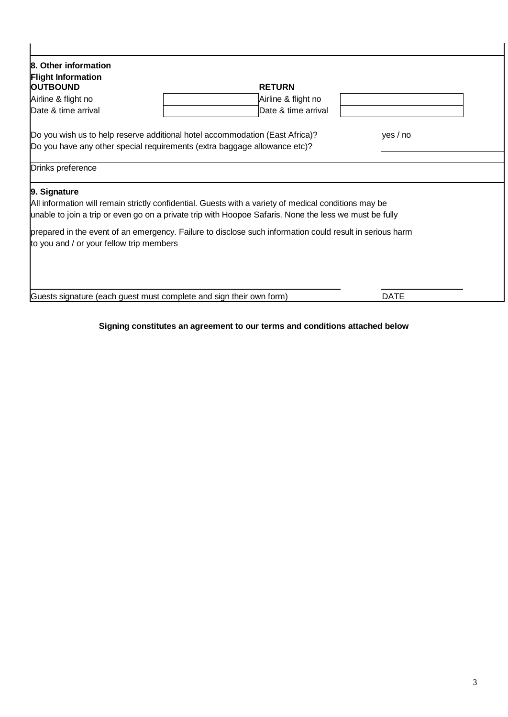| 8. Other information                                                      |                                                                                                          |             |
|---------------------------------------------------------------------------|----------------------------------------------------------------------------------------------------------|-------------|
| <b>Flight Information</b>                                                 |                                                                                                          |             |
| <b>OUTBOUND</b>                                                           | <b>RETURN</b>                                                                                            |             |
| Airline & flight no                                                       | Airline & flight no                                                                                      |             |
| Date & time arrival                                                       | Date & time arrival                                                                                      |             |
|                                                                           | Do you wish us to help reserve additional hotel accommodation (East Africa)?                             | yes / no    |
| Do you have any other special requirements (extra baggage allowance etc)? |                                                                                                          |             |
| Drinks preference                                                         |                                                                                                          |             |
| 9. Signature                                                              |                                                                                                          |             |
|                                                                           | All information will remain strictly confidential. Guests with a variety of medical conditions may be    |             |
|                                                                           | unable to join a trip or even go on a private trip with Hoopoe Safaris. None the less we must be fully   |             |
|                                                                           | prepared in the event of an emergency. Failure to disclose such information could result in serious harm |             |
| to you and / or your fellow trip members                                  |                                                                                                          |             |
|                                                                           |                                                                                                          |             |
|                                                                           |                                                                                                          |             |
|                                                                           |                                                                                                          |             |
| Guests signature (each guest must complete and sign their own form)       |                                                                                                          | <b>DATE</b> |

# **Signing constitutes an agreement to our terms and conditions attached below**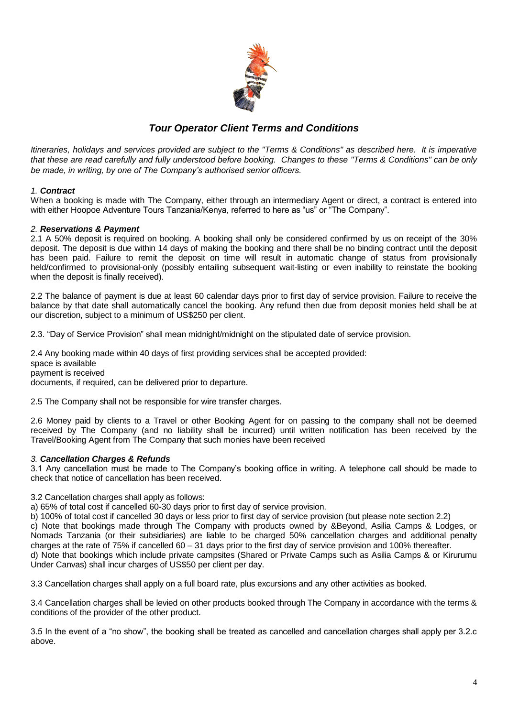

# *Tour Operator Client Terms and Conditions*

*Itineraries, holidays and services provided are subject to the "Terms & Conditions" as described here. It is imperative that these are read carefully and fully understood before booking. Changes to these "Terms & Conditions" can be only be made, in writing, by one of The Company's authorised senior officers.*

# *1. Contract*

When a booking is made with The Company, either through an intermediary Agent or direct, a contract is entered into with either Hoopoe Adventure Tours Tanzania/Kenya, referred to here as "us" or "The Company".

## *2. Reservations & Payment*

2.1 A 50% deposit is required on booking. A booking shall only be considered confirmed by us on receipt of the 30% deposit. The deposit is due within 14 days of making the booking and there shall be no binding contract until the deposit has been paid. Failure to remit the deposit on time will result in automatic change of status from provisionally held/confirmed to provisional-only (possibly entailing subsequent wait-listing or even inability to reinstate the booking when the deposit is finally received).

2.2 The balance of payment is due at least 60 calendar days prior to first day of service provision. Failure to receive the balance by that date shall automatically cancel the booking. Any refund then due from deposit monies held shall be at our discretion, subject to a minimum of US\$250 per client.

2.3. "Day of Service Provision" shall mean midnight/midnight on the stipulated date of service provision.

2.4 Any booking made within 40 days of first providing services shall be accepted provided: space is available payment is received documents, if required, can be delivered prior to departure.

2.5 The Company shall not be responsible for wire transfer charges.

2.6 Money paid by clients to a Travel or other Booking Agent for on passing to the company shall not be deemed received by The Company (and no liability shall be incurred) until written notification has been received by the Travel/Booking Agent from The Company that such monies have been received

## *3. Cancellation Charges & Refunds*

3.1 Any cancellation must be made to The Company's booking office in writing. A telephone call should be made to check that notice of cancellation has been received.

3.2 Cancellation charges shall apply as follows:

a) 65% of total cost if cancelled 60-30 days prior to first day of service provision.

b) 100% of total cost if cancelled 30 days or less prior to first day of service provision (but please note section 2.2) c) Note that bookings made through The Company with products owned by &Beyond, Asilia Camps & Lodges, or Nomads Tanzania (or their subsidiaries) are liable to be charged 50% cancellation charges and additional penalty charges at the rate of 75% if cancelled 60 – 31 days prior to the first day of service provision and 100% thereafter. d) Note that bookings which include private campsites (Shared or Private Camps such as Asilia Camps & or Kirurumu Under Canvas) shall incur charges of US\$50 per client per day.

3.3 Cancellation charges shall apply on a full board rate, plus excursions and any other activities as booked.

3.4 Cancellation charges shall be levied on other products booked through The Company in accordance with the terms & conditions of the provider of the other product.

3.5 In the event of a "no show", the booking shall be treated as cancelled and cancellation charges shall apply per 3.2.c above.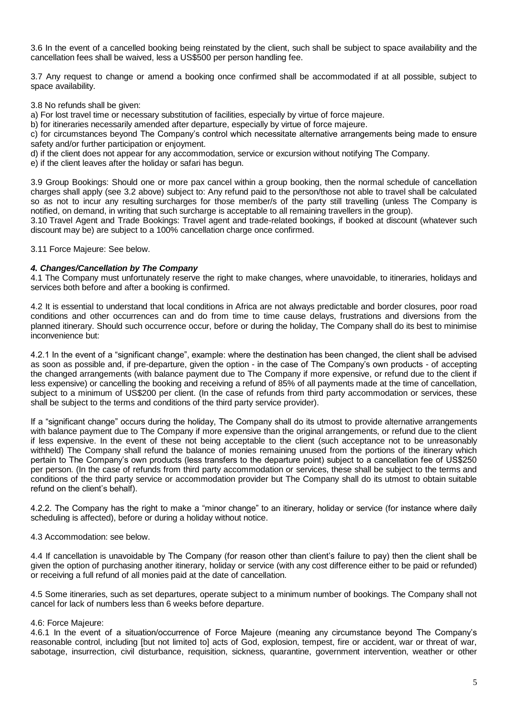3.6 In the event of a cancelled booking being reinstated by the client, such shall be subject to space availability and the cancellation fees shall be waived, less a US\$500 per person handling fee.

3.7 Any request to change or amend a booking once confirmed shall be accommodated if at all possible, subject to space availability.

3.8 No refunds shall be given:

a) For lost travel time or necessary substitution of facilities, especially by virtue of force majeure.

b) for itineraries necessarily amended after departure, especially by virtue of force majeure.

c) for circumstances beyond The Company's control which necessitate alternative arrangements being made to ensure safety and/or further participation or enjoyment.

d) if the client does not appear for any accommodation, service or excursion without notifying The Company.

e) if the client leaves after the holiday or safari has begun.

3.9 Group Bookings: Should one or more pax cancel within a group booking, then the normal schedule of cancellation charges shall apply (see 3.2 above) subject to: Any refund paid to the person/those not able to travel shall be calculated so as not to incur any resulting surcharges for those member/s of the party still travelling (unless The Company is notified, on demand, in writing that such surcharge is acceptable to all remaining travellers in the group).

3.10 Travel Agent and Trade Bookings: Travel agent and trade-related bookings, if booked at discount (whatever such discount may be) are subject to a 100% cancellation charge once confirmed.

3.11 Force Majeure: See below.

## *4. Changes/Cancellation by The Company*

4.1 The Company must unfortunately reserve the right to make changes, where unavoidable, to itineraries, holidays and services both before and after a booking is confirmed.

4.2 It is essential to understand that local conditions in Africa are not always predictable and border closures, poor road conditions and other occurrences can and do from time to time cause delays, frustrations and diversions from the planned itinerary. Should such occurrence occur, before or during the holiday, The Company shall do its best to minimise inconvenience but:

4.2.1 In the event of a "significant change", example: where the destination has been changed, the client shall be advised as soon as possible and, if pre-departure, given the option - in the case of The Company's own products - of accepting the changed arrangements (with balance payment due to The Company if more expensive, or refund due to the client if less expensive) or cancelling the booking and receiving a refund of 85% of all payments made at the time of cancellation, subject to a minimum of US\$200 per client. (In the case of refunds from third party accommodation or services, these shall be subject to the terms and conditions of the third party service provider).

If a "significant change" occurs during the holiday, The Company shall do its utmost to provide alternative arrangements with balance payment due to The Company if more expensive than the original arrangements, or refund due to the client if less expensive. In the event of these not being acceptable to the client (such acceptance not to be unreasonably withheld) The Company shall refund the balance of monies remaining unused from the portions of the itinerary which pertain to The Company's own products (less transfers to the departure point) subject to a cancellation fee of US\$250 per person. (In the case of refunds from third party accommodation or services, these shall be subject to the terms and conditions of the third party service or accommodation provider but The Company shall do its utmost to obtain suitable refund on the client's behalf).

4.2.2. The Company has the right to make a "minor change" to an itinerary, holiday or service (for instance where daily scheduling is affected), before or during a holiday without notice.

## 4.3 Accommodation: see below.

4.4 If cancellation is unavoidable by The Company (for reason other than client's failure to pay) then the client shall be given the option of purchasing another itinerary, holiday or service (with any cost difference either to be paid or refunded) or receiving a full refund of all monies paid at the date of cancellation.

4.5 Some itineraries, such as set departures, operate subject to a minimum number of bookings. The Company shall not cancel for lack of numbers less than 6 weeks before departure.

## 4.6: Force Majeure:

4.6.1 In the event of a situation/occurrence of Force Majeure (meaning any circumstance beyond The Company's reasonable control, including [but not limited to] acts of God, explosion, tempest, fire or accident, war or threat of war, sabotage, insurrection, civil disturbance, requisition, sickness, quarantine, government intervention, weather or other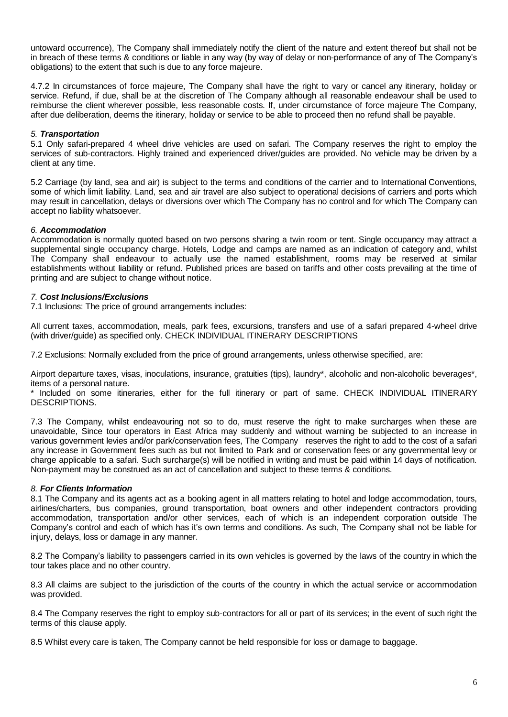untoward occurrence), The Company shall immediately notify the client of the nature and extent thereof but shall not be in breach of these terms & conditions or liable in any way (by way of delay or non-performance of any of The Company's obligations) to the extent that such is due to any force majeure.

4.7.2 In circumstances of force majeure, The Company shall have the right to vary or cancel any itinerary, holiday or service. Refund, if due, shall be at the discretion of The Company although all reasonable endeavour shall be used to reimburse the client wherever possible, less reasonable costs. If, under circumstance of force majeure The Company, after due deliberation, deems the itinerary, holiday or service to be able to proceed then no refund shall be payable.

# *5. Transportation*

5.1 Only safari-prepared 4 wheel drive vehicles are used on safari. The Company reserves the right to employ the services of sub-contractors. Highly trained and experienced driver/guides are provided. No vehicle may be driven by a client at any time.

5.2 Carriage (by land, sea and air) is subject to the terms and conditions of the carrier and to International Conventions, some of which limit liability. Land, sea and air travel are also subject to operational decisions of carriers and ports which may result in cancellation, delays or diversions over which The Company has no control and for which The Company can accept no liability whatsoever.

# *6. Accommodation*

Accommodation is normally quoted based on two persons sharing a twin room or tent. Single occupancy may attract a supplemental single occupancy charge. Hotels, Lodge and camps are named as an indication of category and, whilst The Company shall endeavour to actually use the named establishment, rooms may be reserved at similar establishments without liability or refund. Published prices are based on tariffs and other costs prevailing at the time of printing and are subject to change without notice.

# *7. Cost Inclusions/Exclusions*

7.1 Inclusions: The price of ground arrangements includes:

All current taxes, accommodation, meals, park fees, excursions, transfers and use of a safari prepared 4-wheel drive (with driver/guide) as specified only. CHECK INDIVIDUAL ITINERARY DESCRIPTIONS

7.2 Exclusions: Normally excluded from the price of ground arrangements, unless otherwise specified, are:

Airport departure taxes, visas, inoculations, insurance, gratuities (tips), laundry\*, alcoholic and non-alcoholic beverages\*, items of a personal nature.

\* Included on some itineraries, either for the full itinerary or part of same. CHECK INDIVIDUAL ITINERARY DESCRIPTIONS.

7.3 The Company, whilst endeavouring not so to do, must reserve the right to make surcharges when these are unavoidable, Since tour operators in East Africa may suddenly and without warning be subjected to an increase in various government levies and/or park/conservation fees, The Company reserves the right to add to the cost of a safari any increase in Government fees such as but not limited to Park and or conservation fees or any governmental levy or charge applicable to a safari. Such surcharge(s) will be notified in writing and must be paid within 14 days of notification. Non-payment may be construed as an act of cancellation and subject to these terms & conditions.

# *8. For Clients Information*

8.1 The Company and its agents act as a booking agent in all matters relating to hotel and lodge accommodation, tours, airlines/charters, bus companies, ground transportation, boat owners and other independent contractors providing accommodation, transportation and/or other services, each of which is an independent corporation outside The Company's control and each of which has it's own terms and conditions. As such, The Company shall not be liable for injury, delays, loss or damage in any manner.

8.2 The Company's liability to passengers carried in its own vehicles is governed by the laws of the country in which the tour takes place and no other country.

8.3 All claims are subject to the jurisdiction of the courts of the country in which the actual service or accommodation was provided.

8.4 The Company reserves the right to employ sub-contractors for all or part of its services; in the event of such right the terms of this clause apply.

8.5 Whilst every care is taken, The Company cannot be held responsible for loss or damage to baggage.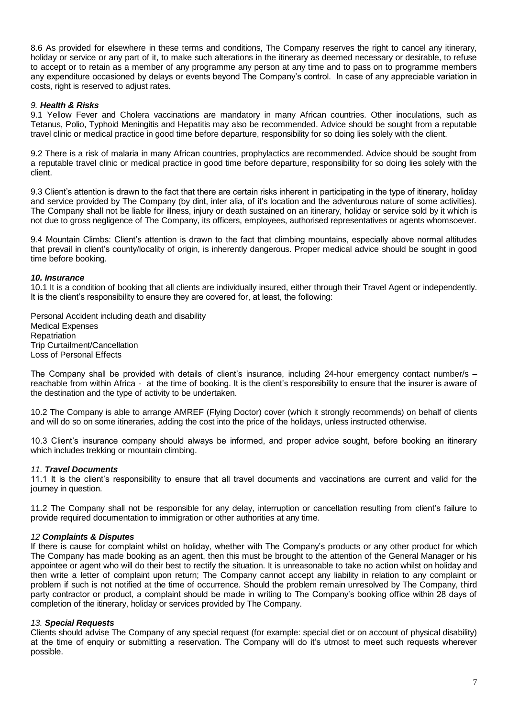8.6 As provided for elsewhere in these terms and conditions, The Company reserves the right to cancel any itinerary, holiday or service or any part of it, to make such alterations in the itinerary as deemed necessary or desirable, to refuse to accept or to retain as a member of any programme any person at any time and to pass on to programme members any expenditure occasioned by delays or events beyond The Company's control. In case of any appreciable variation in costs, right is reserved to adjust rates.

# *9. Health & Risks*

9.1 Yellow Fever and Cholera vaccinations are mandatory in many African countries. Other inoculations, such as Tetanus, Polio, Typhoid Meningitis and Hepatitis may also be recommended. Advice should be sought from a reputable travel clinic or medical practice in good time before departure, responsibility for so doing lies solely with the client.

9.2 There is a risk of malaria in many African countries, prophylactics are recommended. Advice should be sought from a reputable travel clinic or medical practice in good time before departure, responsibility for so doing lies solely with the client.

9.3 Client's attention is drawn to the fact that there are certain risks inherent in participating in the type of itinerary, holiday and service provided by The Company (by dint, inter alia, of it's location and the adventurous nature of some activities). The Company shall not be liable for illness, injury or death sustained on an itinerary, holiday or service sold by it which is not due to gross negligence of The Company, its officers, employees, authorised representatives or agents whomsoever.

9.4 Mountain Climbs: Client's attention is drawn to the fact that climbing mountains, especially above normal altitudes that prevail in client's county/locality of origin, is inherently dangerous. Proper medical advice should be sought in good time before booking.

# *10. Insurance*

10.1 It is a condition of booking that all clients are individually insured, either through their Travel Agent or independently. It is the client's responsibility to ensure they are covered for, at least, the following:

Personal Accident including death and disability Medical Expenses **Repatriation** Trip Curtailment/Cancellation Loss of Personal Effects

The Company shall be provided with details of client's insurance, including 24-hour emergency contact number/s reachable from within Africa - at the time of booking. It is the client's responsibility to ensure that the insurer is aware of the destination and the type of activity to be undertaken.

10.2 The Company is able to arrange AMREF (Flying Doctor) cover (which it strongly recommends) on behalf of clients and will do so on some itineraries, adding the cost into the price of the holidays, unless instructed otherwise.

10.3 Client's insurance company should always be informed, and proper advice sought, before booking an itinerary which includes trekking or mountain climbing.

## *11. Travel Documents*

11.1 It is the client's responsibility to ensure that all travel documents and vaccinations are current and valid for the journey in question.

11.2 The Company shall not be responsible for any delay, interruption or cancellation resulting from client's failure to provide required documentation to immigration or other authorities at any time.

## *12 Complaints & Disputes*

If there is cause for complaint whilst on holiday, whether with The Company's products or any other product for which The Company has made booking as an agent, then this must be brought to the attention of the General Manager or his appointee or agent who will do their best to rectify the situation. It is unreasonable to take no action whilst on holiday and then write a letter of complaint upon return; The Company cannot accept any liability in relation to any complaint or problem if such is not notified at the time of occurrence. Should the problem remain unresolved by The Company, third party contractor or product, a complaint should be made in writing to The Company's booking office within 28 days of completion of the itinerary, holiday or services provided by The Company.

## *13. Special Requests*

Clients should advise The Company of any special request (for example: special diet or on account of physical disability) at the time of enquiry or submitting a reservation. The Company will do it's utmost to meet such requests wherever possible.